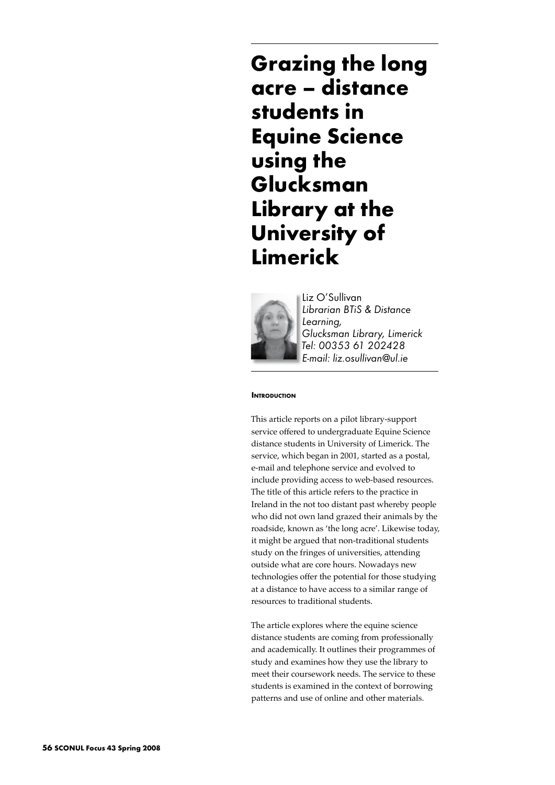**Grazing the long acre – distance students in Equine Science using the Glucksman Library at the University of Limerick**



Liz O'Sullivan *Librarian BTiS & Distance Learning, Glucksman Library, Limerick Tel: 00353 61 202428 E-mail: liz.osullivan@ul.ie*

### **Introduction**

This article reports on a pilot library-support service offered to undergraduate Equine Science distance students in University of Limerick. The service, which began in 2001, started as a postal, e-mail and telephone service and evolved to include providing access to web-based resources. The title of this article refers to the practice in Ireland in the not too distant past whereby people who did not own land grazed their animals by the roadside, known as 'the long acre'. Likewise today, it might be argued that non-traditional students study on the fringes of universities, attending outside what are core hours. Nowadays new technologies offer the potential for those studying at a distance to have access to a similar range of resources to traditional students.

The article explores where the equine science distance students are coming from professionally and academically. It outlines their programmes of study and examines how they use the library to meet their coursework needs. The service to these students is examined in the context of borrowing patterns and use of online and other materials.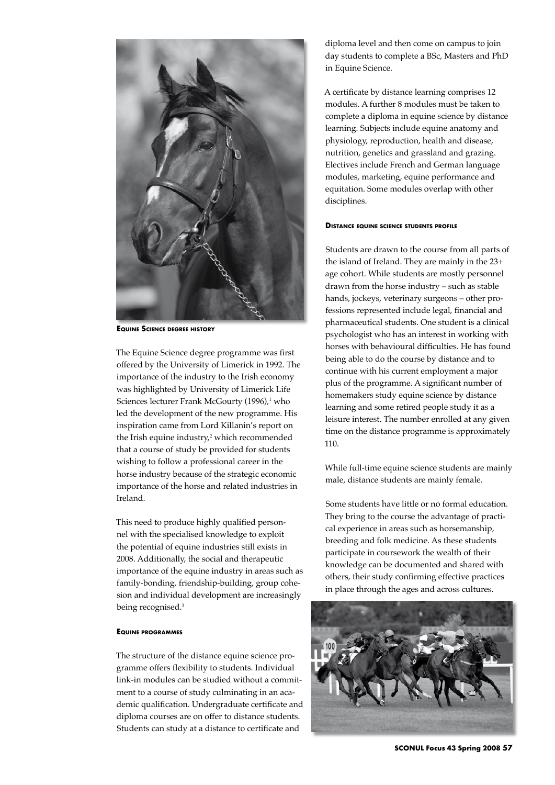

**Equine Science degree history**

The Equine Science degree programme was first offered by the University of Limerick in 1992. The importance of the industry to the Irish economy was highlighted by University of Limerick Life Sciences lecturer Frank McGourty (1996),<sup>1</sup> who led the development of the new programme. His inspiration came from Lord Killanin's report on the Irish equine industry,<sup>2</sup> which recommended that a course of study be provided for students wishing to follow a professional career in the horse industry because of the strategic economic importance of the horse and related industries in Ireland.

This need to produce highly qualified personnel with the specialised knowledge to exploit the potential of equine industries still exists in 2008. Additionally, the social and therapeutic importance of the equine industry in areas such as family-bonding, friendship-building, group cohesion and individual development are increasingly being recognised.<sup>3</sup>

# **Equine programmes**

The structure of the distance equine science programme offers flexibility to students. Individual link-in modules can be studied without a commitment to a course of study culminating in an academic qualification. Undergraduate certificate and diploma courses are on offer to distance students. Students can study at a distance to certificate and

diploma level and then come on campus to join day students to complete a BSc, Masters and PhD in Equine Science.

A certificate by distance learning comprises 12 modules. A further 8 modules must be taken to complete a diploma in equine science by distance learning. Subjects include equine anatomy and physiology, reproduction, health and disease, nutrition, genetics and grassland and grazing. Electives include French and German language modules, marketing, equine performance and equitation. Some modules overlap with other disciplines.

# **Distance equine science students profile**

Students are drawn to the course from all parts of the island of Ireland. They are mainly in the 23+ age cohort. While students are mostly personnel drawn from the horse industry – such as stable hands, jockeys, veterinary surgeons – other professions represented include legal, financial and pharmaceutical students. One student is a clinical psychologist who has an interest in working with horses with behavioural difficulties. He has found being able to do the course by distance and to continue with his current employment a major plus of the programme. A significant number of homemakers study equine science by distance learning and some retired people study it as a leisure interest. The number enrolled at any given time on the distance programme is approximately 110.

While full-time equine science students are mainly male, distance students are mainly female.

Some students have little or no formal education. They bring to the course the advantage of practical experience in areas such as horsemanship, breeding and folk medicine. As these students participate in coursework the wealth of their knowledge can be documented and shared with others, their study confirming effective practices in place through the ages and across cultures.



**SCONUL Focus 43 Spring 2008 57**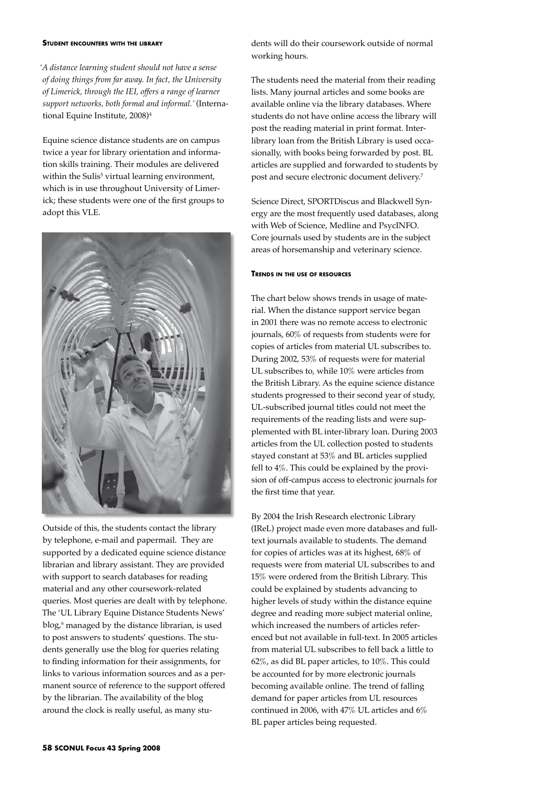#### **Student encounters with the library**

*'A distance learning student should not have a sense of doing things from far away. In fact, the University of Limerick, through the IEI, offers a range of learner support networks, both formal and informal.'* (International Equine Institute, 2008)4

Equine science distance students are on campus twice a year for library orientation and information skills training. Their modules are delivered within the Sulis<sup>5</sup> virtual learning environment*,* which is in use throughout University of Limerick; these students were one of the first groups to adopt this VLE.



Outside of this, the students contact the library by telephone, e-mail and papermail. They are supported by a dedicated equine science distance librarian and library assistant. They are provided with support to search databases for reading material and any other coursework-related queries. Most queries are dealt with by telephone. The 'UL Library Equine Distance Students News' blog,<sup>6</sup> managed by the distance librarian, is used to post answers to students' questions. The students generally use the blog for queries relating to finding information for their assignments, for links to various information sources and as a permanent source of reference to the support offered by the librarian. The availability of the blog around the clock is really useful, as many stu-

dents will do their coursework outside of normal working hours.

The students need the material from their reading lists. Many journal articles and some books are available online via the library databases. Where students do not have online access the library will post the reading material in print format. Interlibrary loan from the British Library is used occasionally, with books being forwarded by post. BL articles are supplied and forwarded to students by post and secure electronic document delivery.<sup>7</sup>

Science Direct, SPORTDiscus and Blackwell Synergy are the most frequently used databases, along with Web of Science, Medline and PsycINFO. Core journals used by students are in the subject areas of horsemanship and veterinary science.

### **Trends in the use of resources**

The chart below shows trends in usage of material. When the distance support service began in 2001 there was no remote access to electronic journals, 60% of requests from students were for copies of articles from material UL subscribes to. During 2002, 53% of requests were for material UL subscribes to, while 10% were articles from the British Library. As the equine science distance students progressed to their second year of study, UL-subscribed journal titles could not meet the requirements of the reading lists and were supplemented with BL inter-library loan. During 2003 articles from the UL collection posted to students stayed constant at 53% and BL articles supplied fell to 4%. This could be explained by the provision of off-campus access to electronic journals for the first time that year.

By 2004 the Irish Research electronic Library (IReL) project made even more databases and fulltext journals available to students. The demand for copies of articles was at its highest, 68% of requests were from material UL subscribes to and 15% were ordered from the British Library. This could be explained by students advancing to higher levels of study within the distance equine degree and reading more subject material online, which increased the numbers of articles referenced but not available in full-text. In 2005 articles from material UL subscribes to fell back a little to 62%, as did BL paper articles, to 10%. This could be accounted for by more electronic journals becoming available online. The trend of falling demand for paper articles from UL resources continued in 2006, with 47% UL articles and 6% BL paper articles being requested.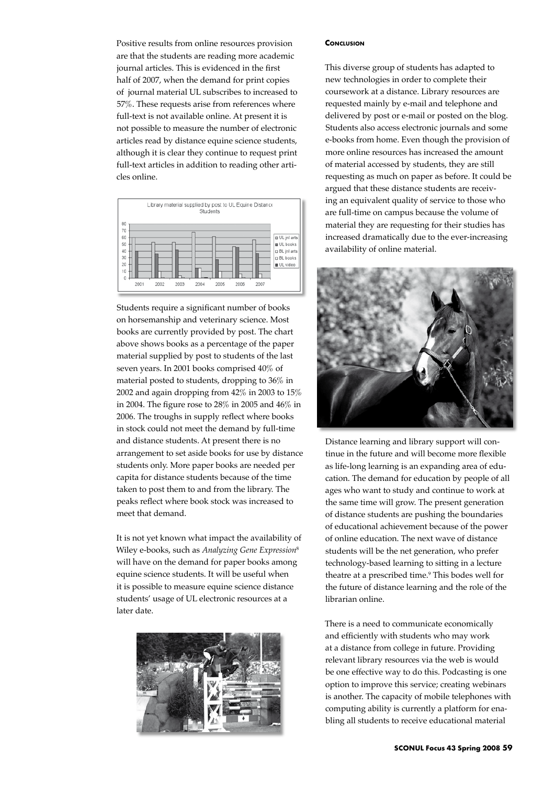Positive results from online resources provision are that the students are reading more academic journal articles. This is evidenced in the first half of 2007, when the demand for print copies of journal material UL subscribes to increased to 57%. These requests arise from references where full-text is not available online. At present it is not possible to measure the number of electronic articles read by distance equine science students, although it is clear they continue to request print full-text articles in addition to reading other articles online.



Students require a significant number of books on horsemanship and veterinary science. Most books are currently provided by post. The chart above shows books as a percentage of the paper material supplied by post to students of the last seven years. In 2001 books comprised 40% of material posted to students, dropping to 36% in 2002 and again dropping from 42% in 2003 to 15% in 2004. The figure rose to 28% in 2005 and 46% in 2006. The troughs in supply reflect where books in stock could not meet the demand by full-time and distance students. At present there is no arrangement to set aside books for use by distance students only. More paper books are needed per capita for distance students because of the time taken to post them to and from the library. The peaks reflect where book stock was increased to meet that demand.

It is not yet known what impact the availability of Wiley e-books, such as *Analyzing Gene Expression*<sup>8</sup> will have on the demand for paper books among equine science students. It will be useful when it is possible to measure equine science distance students' usage of UL electronic resources at a later date.



## **CONCLUSION**

This diverse group of students has adapted to new technologies in order to complete their coursework at a distance. Library resources are requested mainly by e-mail and telephone and delivered by post or e-mail or posted on the blog. Students also access electronic journals and some e-books from home. Even though the provision of more online resources has increased the amount of material accessed by students, they are still requesting as much on paper as before. It could be argued that these distance students are receiving an equivalent quality of service to those who are full-time on campus because the volume of material they are requesting for their studies has increased dramatically due to the ever-increasing availability of online material.



Distance learning and library support will continue in the future and will become more flexible as life-long learning is an expanding area of education. The demand for education by people of all ages who want to study and continue to work at the same time will grow. The present generation of distance students are pushing the boundaries of educational achievement because of the power of online education. The next wave of distance students will be the net generation, who prefer technology-based learning to sitting in a lecture theatre at a prescribed time.<sup>9</sup> This bodes well for the future of distance learning and the role of the librarian online.

There is a need to communicate economically and efficiently with students who may work at a distance from college in future. Providing relevant library resources via the web is would be one effective way to do this. Podcasting is one option to improve this service; creating webinars is another. The capacity of mobile telephones with computing ability is currently a platform for enabling all students to receive educational material